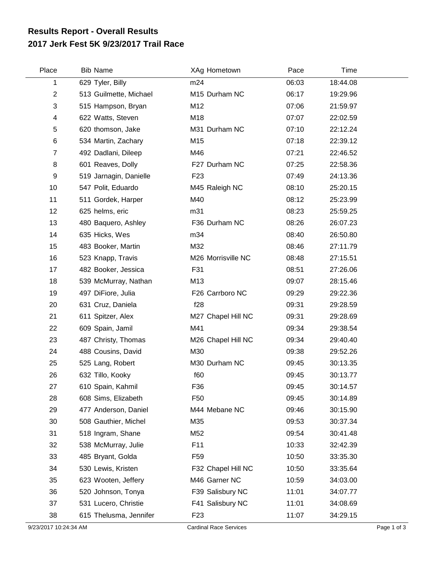## **2017 Jerk Fest 5K 9/23/2017 Trail Race Results Report - Overall Results**

| Place          | <b>Bib Name</b>        | XAg Hometown       | Pace  | <b>Time</b> |  |
|----------------|------------------------|--------------------|-------|-------------|--|
| 1              | 629 Tyler, Billy       | m24                | 06:03 | 18:44.08    |  |
| 2              | 513 Guilmette, Michael | M15 Durham NC      | 06:17 | 19:29.96    |  |
| 3              | 515 Hampson, Bryan     | M12                | 07:06 | 21:59.97    |  |
| 4              | 622 Watts, Steven      | M18                | 07:07 | 22:02.59    |  |
| 5              | 620 thomson, Jake      | M31 Durham NC      | 07:10 | 22:12.24    |  |
| 6              | 534 Martin, Zachary    | M15                | 07:18 | 22:39.12    |  |
| $\overline{7}$ | 492 Dadlani, Dileep    | M46                | 07:21 | 22:46.52    |  |
| 8              | 601 Reaves, Dolly      | F27 Durham NC      | 07:25 | 22:58.36    |  |
| 9              | 519 Jarnagin, Danielle | F <sub>23</sub>    | 07:49 | 24:13.36    |  |
| 10             | 547 Polit, Eduardo     | M45 Raleigh NC     | 08:10 | 25:20.15    |  |
| 11             | 511 Gordek, Harper     | M40                | 08:12 | 25:23.99    |  |
| 12             | 625 helms, eric        | m31                | 08:23 | 25:59.25    |  |
| 13             | 480 Baquero, Ashley    | F36 Durham NC      | 08:26 | 26:07.23    |  |
| 14             | 635 Hicks, Wes         | m34                | 08:40 | 26:50.80    |  |
| 15             | 483 Booker, Martin     | M32                | 08:46 | 27:11.79    |  |
| 16             | 523 Knapp, Travis      | M26 Morrisville NC | 08:48 | 27:15.51    |  |
| 17             | 482 Booker, Jessica    | F31                | 08:51 | 27:26.06    |  |
| 18             | 539 McMurray, Nathan   | M13                | 09:07 | 28:15.46    |  |
| 19             | 497 DiFiore, Julia     | F26 Carrboro NC    | 09:29 | 29:22.36    |  |
| 20             | 631 Cruz, Daniela      | f28                | 09:31 | 29:28.59    |  |
| 21             | 611 Spitzer, Alex      | M27 Chapel Hill NC | 09:31 | 29:28.69    |  |
| 22             | 609 Spain, Jamil       | M41                | 09:34 | 29:38.54    |  |
| 23             | 487 Christy, Thomas    | M26 Chapel Hill NC | 09:34 | 29:40.40    |  |
| 24             | 488 Cousins, David     | M30                | 09:38 | 29:52.26    |  |
| 25             | 525 Lang, Robert       | M30 Durham NC      | 09:45 | 30:13.35    |  |
| 26             | 632 Tillo, Kooky       | f60                | 09:45 | 30:13.77    |  |
| 27             | 610 Spain, Kahmil      | F36                | 09:45 | 30:14.57    |  |
| 28             | 608 Sims, Elizabeth    | F <sub>50</sub>    | 09:45 | 30:14.89    |  |
| 29             | 477 Anderson, Daniel   | M44 Mebane NC      | 09:46 | 30:15.90    |  |
| 30             | 508 Gauthier, Michel   | M35                | 09:53 | 30:37.34    |  |
| 31             | 518 Ingram, Shane      | M52                | 09:54 | 30:41.48    |  |
| 32             | 538 McMurray, Julie    | F11                | 10:33 | 32:42.39    |  |
| 33             | 485 Bryant, Golda      | F <sub>59</sub>    | 10:50 | 33:35.30    |  |
| 34             | 530 Lewis, Kristen     | F32 Chapel Hill NC | 10:50 | 33:35.64    |  |
| 35             | 623 Wooten, Jeffery    | M46 Garner NC      | 10:59 | 34:03.00    |  |
| 36             | 520 Johnson, Tonya     | F39 Salisbury NC   | 11:01 | 34:07.77    |  |
| 37             | 531 Lucero, Christie   | F41 Salisbury NC   | 11:01 | 34:08.69    |  |
| 38             | 615 Thelusma, Jennifer | F <sub>23</sub>    | 11:07 | 34:29.15    |  |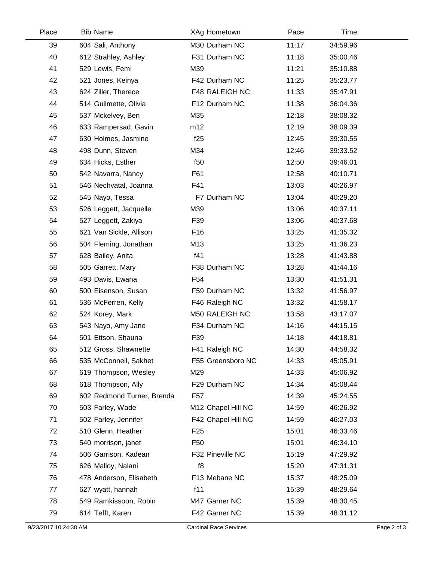| Place | <b>Bib Name</b>            | XAg Hometown       | Pace  | Time     |  |
|-------|----------------------------|--------------------|-------|----------|--|
| 39    | 604 Sali, Anthony          | M30 Durham NC      | 11:17 | 34:59.96 |  |
| 40    | 612 Strahley, Ashley       | F31 Durham NC      | 11:18 | 35:00.46 |  |
| 41    | 529 Lewis, Femi            | M39                | 11:21 | 35:10.88 |  |
| 42    | 521 Jones, Keinya          | F42 Durham NC      | 11:25 | 35:23.77 |  |
| 43    | 624 Ziller, Therece        | F48 RALEIGH NC     | 11:33 | 35:47.91 |  |
| 44    | 514 Guilmette, Olivia      | F12 Durham NC      | 11:38 | 36:04.36 |  |
| 45    | 537 Mckelvey, Ben          | M35                | 12:18 | 38:08.32 |  |
| 46    | 633 Rampersad, Gavin       | m12                | 12:19 | 38:09.39 |  |
| 47    | 630 Holmes, Jasmine        | f25                | 12:45 | 39:30.55 |  |
| 48    | 498 Dunn, Steven           | M34                | 12:46 | 39:33.52 |  |
| 49    | 634 Hicks, Esther          | f50                | 12:50 | 39:46.01 |  |
| 50    | 542 Navarra, Nancy         | F61                | 12:58 | 40:10.71 |  |
| 51    | 546 Nechvatal, Joanna      | F41                | 13:03 | 40:26.97 |  |
| 52    | 545 Nayo, Tessa            | F7 Durham NC       | 13:04 | 40:29.20 |  |
| 53    | 526 Leggett, Jacquelle     | M39                | 13:06 | 40:37.11 |  |
| 54    | 527 Leggett, Zakiya        | F39                | 13:06 | 40:37.68 |  |
| 55    | 621 Van Sickle, Allison    | F <sub>16</sub>    | 13:25 | 41:35.32 |  |
| 56    | 504 Fleming, Jonathan      | M13                | 13:25 | 41:36.23 |  |
| 57    | 628 Bailey, Anita          | f41                | 13:28 | 41:43.88 |  |
| 58    | 505 Garrett, Mary          | F38 Durham NC      | 13:28 | 41:44.16 |  |
| 59    | 493 Davis, Ewana           | F54                | 13:30 | 41:51.31 |  |
| 60    | 500 Eisenson, Susan        | F59 Durham NC      | 13:32 | 41:56.97 |  |
| 61    | 536 McFerren, Kelly        | F46 Raleigh NC     | 13:32 | 41:58.17 |  |
| 62    | 524 Korey, Mark            | M50 RALEIGH NC     | 13:58 | 43:17.07 |  |
| 63    | 543 Nayo, Amy Jane         | F34 Durham NC      | 14:16 | 44:15.15 |  |
| 64    | 501 Ettson, Shauna         | F39                | 14:18 | 44:18.81 |  |
| 65    | 512 Gross, Shawnette       | F41 Raleigh NC     | 14:30 | 44:58.32 |  |
| 66    | 535 McConnell, Sakhet      | F55 Greensboro NC  | 14:33 | 45:05.91 |  |
| 67    | 619 Thompson, Wesley       | M29                | 14:33 | 45:06.92 |  |
| 68    | 618 Thompson, Ally         | F29 Durham NC      | 14:34 | 45:08.44 |  |
| 69    | 602 Redmond Turner, Brenda | F57                | 14:39 | 45:24.55 |  |
| 70    | 503 Farley, Wade           | M12 Chapel Hill NC | 14:59 | 46:26.92 |  |
| 71    | 502 Farley, Jennifer       | F42 Chapel Hill NC | 14:59 | 46:27.03 |  |
| 72    | 510 Glenn, Heather         | F <sub>25</sub>    | 15:01 | 46:33.46 |  |
| 73    | 540 morrison, janet        | F50                | 15:01 | 46:34.10 |  |
| 74    | 506 Garrison, Kadean       | F32 Pineville NC   | 15:19 | 47:29.92 |  |
| 75    | 626 Malloy, Nalani         | f8                 | 15:20 | 47:31.31 |  |
| 76    | 478 Anderson, Elisabeth    | F13 Mebane NC      | 15:37 | 48:25.09 |  |
| 77    | 627 wyatt, hannah          | f11                | 15:39 | 48:29.64 |  |
| 78    | 549 Ramkissoon, Robin      | M47 Garner NC      | 15:39 | 48:30.45 |  |
| 79    | 614 Tefft, Karen           | F42 Garner NC      | 15:39 | 48:31.12 |  |